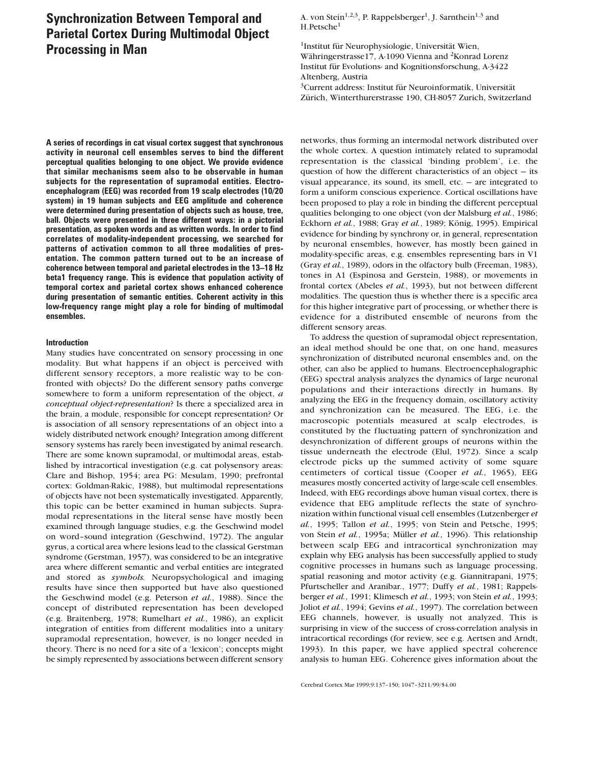# **Synchronization Between Temporal and Parietal Cortex During Multimodal Object Processing in Man**

**A series of recordings in cat visual cortex suggest that synchronous activity in neuronal cell ensembles serves to bind the different perceptual qualities belonging to one object. We provide evidence that similar mechanisms seem also to be observable in human subjects for the representation of supramodal entities. Electroencephalogram (EEG) was recorded from 19 scalp electrodes (10/20 system) in 19 human subjects and EEG amplitude and coherence were determined during presentation of objects such as house, tree, ball. Objects were presented in three different ways: in a pictorial presentation, as spoken words and as written words. In order to find correlates of modality-independent processing, we searched for patterns of activation common to all three modalities of presentation. The common pattern turned out to be an increase of coherence between temporal and parietal electrodes in the 13–18 Hz beta1 frequency range. This is evidence that population activity of temporal cortex and parietal cortex shows enhanced coherence during presentation of semantic entities. Coherent activity in this low-frequency range might play a role for binding of multimodal ensembles.**

# **Introduction**

Many studies have concentrated on sensory processing in one modality. But what happens if an object is perceived with different sensory receptors, a more realistic way to be confronted with objects? Do the different sensory paths converge somewhere to form a uniform representation of the object, *a conceptual object-representation*? Is there a specialized area in the brain, a module, responsible for concept representation? Or is association of all sensory representations of an object into a widely distributed network enough? Integration among different sensory systems has rarely been investigated by animal research. There are some known supramodal, or multimodal areas, established by intracortical investigation (e.g. cat polysensory areas: Clare and Bishop, 1954; area PG: Mesulam, 1990; prefrontal cortex: Goldman-Rakic, 1988), but multimodal representations of objects have not been systematically investigated. Apparently, this topic can be better examined in human subjects. Supramodal representations in the literal sense have mostly been examined through language studies, e.g. the Geschwind model on word–sound integration (Geschwind, 1972). The angular gyrus, a cortical area where lesions lead to the classical Gerstman syndrome (Gerstman, 1957), was considered to be an integrative area where different semantic and verbal entities are integrated and stored as *symbols.* Neuropsychological and imaging results have since then supported but have also questioned the Geschwind model (e.g. Peterson *et al.*, 1988). Since the concept of distributed representation has been developed (e.g. Braitenberg, 1978; Rumelhart *et al.*, 1986), an explicit integration of entities from different modalities into a unitary supramodal representation, however, is no longer needed in theory. There is no need for a site of a 'lexicon'; concepts might be simply represented by associations between different sensory

A. von Stein<sup>1,2,3</sup>, P. Rappelsberger<sup>1</sup>, J. Sarnthein<sup>1,3</sup> and H.Petsche<sup>1</sup>

1Institut für Neurophysiologie, Universität Wien, Währingerstrasse17, A-1090 Vienna and <sup>2</sup>Konrad Lorenz Institut für Evolutions- and Kognitionsforschung, A-3422 Altenberg, Austria

3Current address: Institut für Neuroinformatik, Universität Zürich, Winterthurerstrasse 190, CH-8057 Zurich, Switzerland

networks, thus forming an intermodal network distributed over the whole cortex. A question intimately related to supramodal representation is the classical 'binding problem', i.e. the question of how the different characteristics of an object — its visual appearance, its sound, its smell, etc. — are integrated to form a uniform conscious experience. Cortical oscillations have been proposed to play a role in binding the different perceptual qualities belonging to one object (von der Malsburg *et al.*, 1986; Eckhorn *et al.*, 1988; Gray *et al.*, 1989; König, 1995). Empirical evidence for binding by synchrony or, in general, representation by neuronal ensembles, however, has mostly been gained in modality-specific areas, e.g. ensembles representing bars in V1 (Gray *et al.*, 1989), odors in the olfactory bulb (Freeman, 1983), tones in A1 (Espinosa and Gerstein, 1988), or movements in frontal cortex (Abeles *et al.*, 1993), but not between different modalities. The question thus is whether there is a specific area for this higher integrative part of processing, or whether there is evidence for a distributed ensemble of neurons from the different sensory areas.

To address the question of supramodal object representation, an ideal method should be one that, on one hand, measures synchronization of distributed neuronal ensembles and, on the other, can also be applied to humans. Electroencephalographic (EEG) spectral analysis analyzes the dynamics of large neuronal populations and their interactions directly in humans. By analyzing the EEG in the frequency domain, oscillatory activity and synchronization can be measured. The EEG, i.e. the macroscopic potentials measured at scalp electrodes, is constituted by the fluctuating pattern of synchronization and desynchronization of different groups of neurons within the tissue underneath the electrode (Elul, 1972). Since a scalp electrode picks up the summed activity of some square centimeters of cortical tissue (Cooper *et al.*, 1965), EEG measures mostly concerted activity of large-scale cell ensembles. Indeed, with EEG recordings above human visual cortex, there is evidence that EEG amplitude reflects the state of synchronization within functional visual cell ensembles (Lutzenberger *et al.*, 1995; Tallon *et al.*, 1995; von Stein and Petsche, 1995; von Stein *et al.*, 1995a; Müller *et al.*, 1996). This relationship between scalp EEG and intracortical synchronization may explain why EEG analysis has been successfully applied to study cognitive processes in humans such as language processing, spatial reasoning and motor activity (e.g. Giannitrapani, 1975; Pfurtscheller and Aranibar*.*, 1977; Duffy *et al.*, 1981; Rappelsberger *et al.*, 1991; Klimesch *et al.*, 1993; von Stein *et al.*, 1993; Joliot *et al.*, 1994; Gevins *et al.*, 1997). The correlation between EEG channels, however, is usually not analyzed. This is surprising in view of the success of cross-correlation analysis in intracortical recordings (for review, see e.g. Aertsen and Arndt, 1993). In this paper, we have applied spectral coherence analysis to human EEG. Coherence gives information about the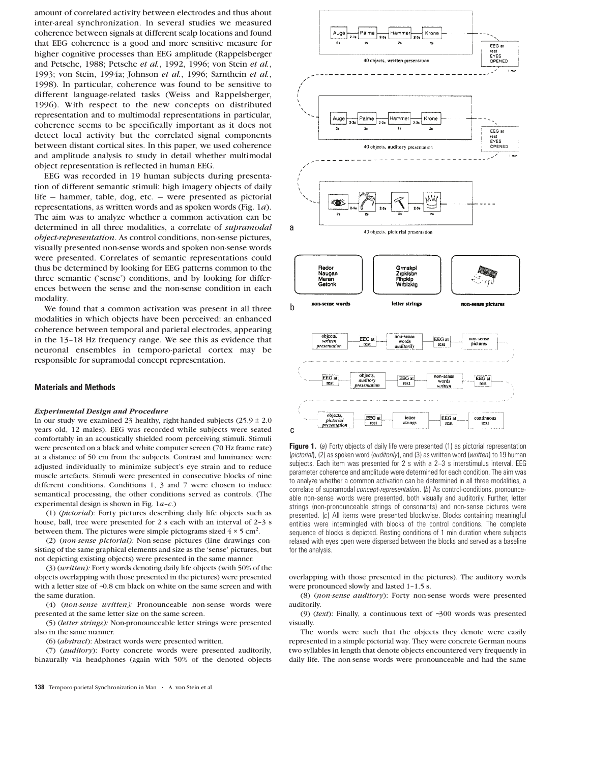amount of correlated activity between electrodes and thus about inter-areal synchronization. In several studies we measured coherence between signals at different scalp locations and found that EEG coherence is a good and more sensitive measure for higher cognitive processes than EEG amplitude (Rappelsberger and Petsche, 1988; Petsche *et al.*, 1992, 1996; von Stein *et al.*, 1993; von Stein, 1994a; Johnson *et al.*, 1996; Sarnthein *et al.*, 1998). In particular, coherence was found to be sensitive to different language-related tasks (Weiss and Rappelsberger, 1996). With respect to the new concepts on distributed representation and to multimodal representations in particular, coherence seems to be specifically important as it does not detect local activity but the correlated signal components between distant cortical sites. In this paper, we used coherence and amplitude analysis to study in detail whether multimodal object representation is reflected in human EEG.

EEG was recorded in 19 human subjects during presentation of different semantic stimuli: high imagery objects of daily life — hammer, table, dog, etc. — were presented as pictorial representations, as written words and as spoken words (Fig. 1*a*). The aim was to analyze whether a common activation can be determined in all three modalities, a correlate of *supramodal object-representation*. As control conditions, non-sense pictures*,* visually presented non-sense words and spoken non-sense words were presented. Correlates of semantic representations could thus be determined by looking for EEG patterns common to the three semantic ('sense') conditions, and by looking for differences between the sense and the non-sense condition in each modality.

We found that a common activation was present in all three modalities in which objects have been perceived: an enhanced coherence between temporal and parietal electrodes, appearing in the 13–18 Hz frequency range. We see this as evidence that neuronal ensembles in temporo-parietal cortex may be responsible for supramodal concept representation.

# **Materials and Methods**

#### *Experimental Design and Procedure*

In our study we examined 23 healthy, right-handed subjects (25.9 ± 2.0 years old, 12 males). EEG was recorded while subjects were seated comfortably in an acoustically shielded room perceiving stimuli. Stimuli were presented on a black and white computer screen (70 Hz frame rate) at a distance of 50 cm from the subjects. Contrast and luminance were adjusted individually to minimize subject's eye strain and to reduce muscle artefacts. Stimuli were presented in consecutive blocks of nine different conditions. Conditions 1, 3 and 7 were chosen to induce semantical processing, the other conditions served as controls. (The experimental design is shown in Fig. 1*a*–*c*.)

(1) (*pictorial*): Forty pictures describing daily life objects such as house, ball, tree were presented for 2 s each with an interval of 2–3 s between them. The pictures were simple pictograms sized  $4 \times 5$  cm<sup>2</sup>.

(2) (*non-sense pictorial):* Non-sense pictures (line drawings consisting of the same graphical elements and size as the 'sense' pictures, but not depicting existing objects) were presented in the same manner.

(3) (*written):* Forty words denoting daily life objects (with 50% of the objects overlapping with those presented in the pictures) were presented with a letter size of ∼0.8 cm black on white on the same screen and with the same duration.

(4) (*non-sense written):* Pronounceable non-sense words were presented at the same letter size on the same screen.

(5) (*letter strings):* Non-pronounceable letter strings were presented also in the same manner.

(6) (*abstract*): Abstract words were presented written.

(7) (*auditory*): Forty concrete words were presented auditorily, binaurally via headphones (again with 50% of the denoted objects



**Figure 1.** (a) Forty objects of daily life were presented (1) as pictorial representation (*pictorial*), (2) as spoken word (*auditorily*), and (3) as written word (*written*) to 19 human subjects. Each item was presented for 2 s with a 2–3 s interstimulus interval. EEG parameter coherence and amplitude were determined for each condition. The aim was to analyze whether a common activation can be determined in all three modalities, a correlate of supramodal *concept-representation*. (*b*) As control-conditions, pronounceable non-sense words were presented, both visually and auditorily. Further, letter strings (non-pronounceable strings of consonants) and non-sense pictures were presented. (*c*) All items were presented blockwise. Blocks containing meaningful entities were intermingled with blocks of the control conditions. The complete sequence of blocks is depicted. Resting conditions of 1 min duration where subjects relaxed with eyes open were dispersed between the blocks and served as a baseline for the analysis.

overlapping with those presented in the pictures). The auditory words were pronounced slowly and lasted 1–1.5 s.

(8) (*non-sense auditory*): Forty non-sense words were presented auditorily.

(9) (*text*): Finally, a continuous text of ∼300 words was presented visually.

The words were such that the objects they denote were easily represented in a simple pictorial way. They were concrete German nouns two syllables in length that denote objects encountered very frequently in daily life. The non-sense words were pronounceable and had the same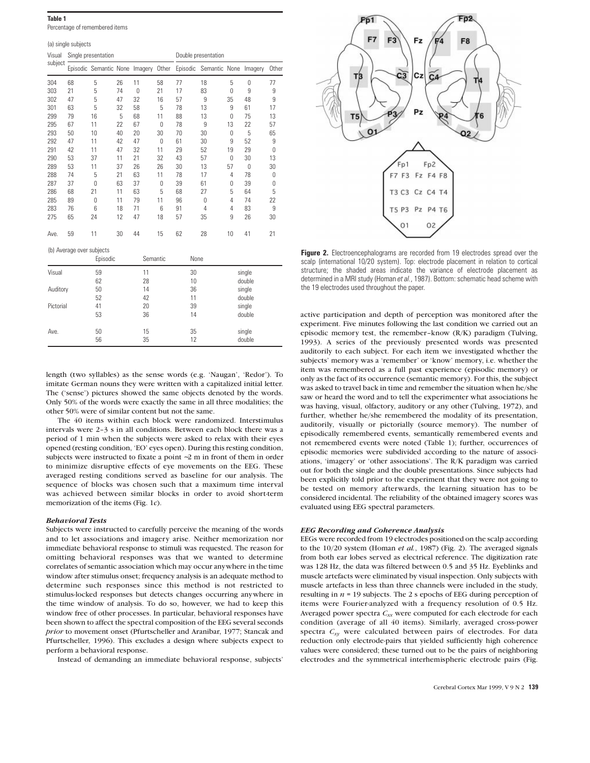| . |  |
|---|--|

Percentage of remembered items

|  | (a) single subjects |
|--|---------------------|
|  |                     |

| Visual    | Single presentation       |                                      |    |                | Double presentation |      |                        |          |              |                |
|-----------|---------------------------|--------------------------------------|----|----------------|---------------------|------|------------------------|----------|--------------|----------------|
| subject   |                           | Episodic Semantic None Imagery Other |    |                |                     |      | Episodic Semantic None |          | Imagery      | Other          |
| 304       | 68                        | 5                                    | 26 | 11             | 58                  | 77   | 18                     | 5        | $\mathbf 0$  | 77             |
| 303       | 21                        | 5                                    | 74 | $\overline{0}$ | 21                  | 17   | 83                     | $\Omega$ | 9            | 9              |
| 302       | 47                        | 5                                    | 47 | 32             | 16                  | 57   | 9                      | 35       | 48           | 9              |
| 301       | 63                        | 5                                    | 32 | 58             | 5                   | 78   | 13                     | 9        | 61           | 17             |
| 299       | 79                        | 16                                   | 5  | 68             | 11                  | 88   | 13                     | 0        | 75           | 13             |
| 295       | 67                        | 11                                   | 22 | 67             | $\mathbf{0}$        | 78   | 9                      | 13       | 22           | 57             |
| 293       | 50                        | 10                                   | 40 | 20             | 30                  | 70   | 30                     | 0        | 5            | 65             |
| 292       | 47                        | 11                                   | 42 | 47             | $\mathbf{0}$        | 61   | 30                     | 9        | 52           | 9              |
| 291       | 42                        | 11                                   | 47 | 32             | 11                  | 29   | 52                     | 19       | 29           | $\overline{0}$ |
| 290       | 53                        | 37                                   | 11 | 21             | 32                  | 43   | 57                     | 0        | 30           | 13             |
| 289       | 53                        | 11                                   | 37 | 26             | 26                  | 30   | 13                     | 57       | $\mathbf{0}$ | 30             |
| 288       | 74                        | 5                                    | 21 | 63             | 11                  | 78   | 17                     | 4        | 78           | $\mathbf 0$    |
| 287       | 37                        | 0                                    | 63 | 37             | $\mathbf{0}$        | 39   | 61                     | 0        | 39           | $\mathbf 0$    |
| 286       | 68                        | 21                                   | 11 | 63             | 5                   | 68   | 27                     | 5        | 64           | 5              |
| 285       | 89                        | 0                                    | 11 | 79             | 11                  | 96   | 0                      | 4        | 74           | 22             |
| 283       | 76                        | 6                                    | 18 | 71             | 6                   | 91   | 4                      | 4        | 83           | 9              |
| 275       | 65                        | 24                                   | 12 | 47             | 18                  | 57   | 35                     | 9        | 26           | 30             |
| Ave.      | 59                        | 11                                   | 30 | 44             | 15                  | 62   | 28                     | 10       | 41           | 21             |
|           | (b) Average over subjects |                                      |    |                |                     |      |                        |          |              |                |
|           |                           | Episodic                             |    | Semantic       |                     | None |                        |          |              |                |
| Visual    |                           | 59                                   |    | 11             |                     | 30   |                        | single   |              |                |
|           |                           | 62                                   |    | 28             | 10                  |      | double                 |          |              |                |
| Auditory  |                           | 50                                   | 14 |                | 36                  |      | single                 |          |              |                |
|           |                           | 52                                   | 42 |                |                     | 11   |                        | double   |              |                |
| Pictorial | 41                        |                                      | 20 |                | 39                  |      | single                 |          |              |                |
|           | 53                        |                                      |    | 36             |                     | 14   |                        | double   |              |                |
| Ave.      |                           | 50                                   |    | 15             |                     | 35   |                        | single   |              |                |
|           |                           | 56                                   |    | 35             |                     | 12   |                        | double   |              |                |

length (two syllables) as the sense words (e.g. 'Naugan', 'Redor'). To imitate German nouns they were written with a capitalized initial letter. The ('sense') pictures showed the same objects denoted by the words. Only 50% of the words were exactly the same in all three modalities; the other 50% were of similar content but not the same.

The 40 items within each block were randomized. Interstimulus intervals were 2–3 s in all conditions. Between each block there was a period of 1 min when the subjects were asked to relax with their eyes opened (resting condition, 'EO' eyes open). During this resting condition, subjects were instructed to fixate a point ∼2 m in front of them in order to minimize disruptive effects of eye movements on the EEG. These averaged resting conditions served as baseline for our analysis. The sequence of blocks was chosen such that a maximum time interval was achieved between similar blocks in order to avoid short-term memorization of the items (Fig. 1*c*).

# *Behavioral Tests*

Subjects were instructed to carefully perceive the meaning of the words and to let associations and imagery arise. Neither memorization nor immediate behavioral response to stimuli was requested. The reason for omitting behavioral responses was that we wanted to determine correlates of semantic association which may occur anywhere in the time window after stimulus onset; frequency analysis is an adequate method to determine such responses since this method is not restricted to stimulus-locked responses but detects changes occurring anywhere in the time window of analysis. To do so, however, we had to keep this window free of other processes. In particular, behavioral responses have been shown to affect the spectral composition of the EEG several seconds *prior* to movement onset (Pfurtscheller and Aranibar, 1977; Stancak and Pfurtscheller, 1996). This excludes a design where subjects expect to perform a behavioral response.

Instead of demanding an immediate behavioral response, subjects'



**Figure 2.** Electroencephalograms are recorded from 19 electrodes spread over the scalp (international 10/20 system). Top: electrode placement in relation to cortical structure; the shaded areas indicate the variance of electrode placement as determined in a MRI study (Homan *et al.*, 1987). Bottom: schematic head scheme with the 19 electrodes used throughout the paper.

active participation and depth of perception was monitored after the experiment. Five minutes following the last condition we carried out an episodic memory test, the remember–know (R/K) paradigm (Tulving, 1993). A series of the previously presented words was presented auditorily to each subject. For each item we investigated whether the subjects' memory was a 'remember' or 'know' memory, i.e. whether the item was remembered as a full past experience (episodic memory) or only as the fact of its occurrence (semantic memory). For this, the subject was asked to travel back in time and remember the situation when he/she saw or heard the word and to tell the experimenter what associations he was having, visual, olfactory, auditory or any other (Tulving, 1972), and further, whether he/she remembered the modality of its presentation, auditorily, visually or pictorially (source memory). The number of episodically remembered events, semantically remembered events and not remembered events were noted (Table 1); further, occurrences of episodic memories were subdivided according to the nature of associations, 'imagery' or 'other associations'. The R/K paradigm was carried out for both the single and the double presentations. Since subjects had been explicitly told prior to the experiment that they were not going to be tested on memory afterwards, the learning situation has to be considered incidental. The reliability of the obtained imagery scores was evaluated using EEG spectral parameters.

#### *EEG Recording and Coherence Analysis*

EEGs were recorded from 19 electrodes positioned on the scalp according to the 10/20 system (Homan *et al.*, 1987) (Fig. 2). The averaged signals from both ear lobes served as electrical reference. The digitization rate was 128 Hz, the data was filtered between 0.5 and 35 Hz. Eyeblinks and muscle artefacts were eliminated by visual inspection. Only subjects with muscle artefacts in less than three channels were included in the study, resulting in *n* = 19 subjects. The 2 s epochs of EEG during perception of items were Fourier-analyzed with a frequency resolution of 0.5 Hz. Averaged power spectra  $C_{xx}$  were computed for each electrode for each condition (average of all 40 items). Similarly, averaged cross-power spectra  $C_{xy}$  were calculated between pairs of electrodes. For data reduction only electrode-pairs that yielded sufficiently high coherence values were considered; these turned out to be the pairs of neighboring electrodes and the symmetrical interhemispheric electrode pairs (Fig.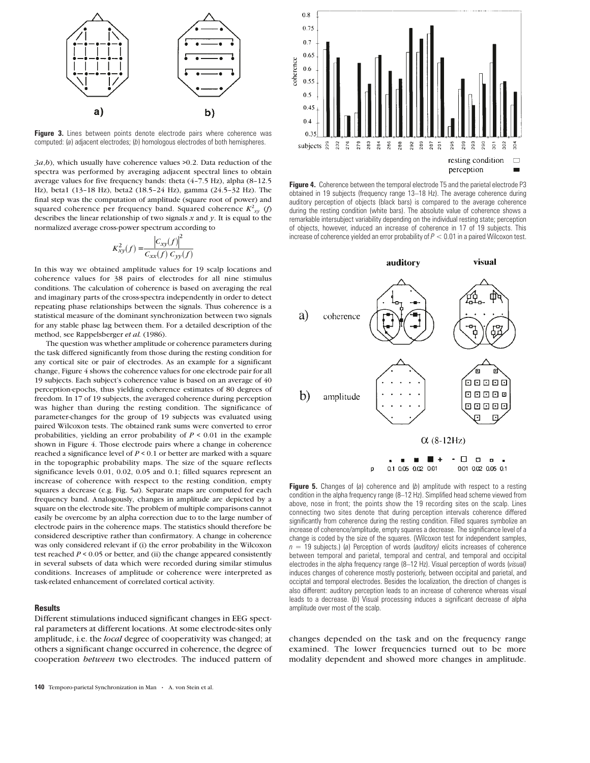

Figure 3. Lines between points denote electrode pairs where coherence was computed: (*a*) adjacent electrodes; (*b*) homologous electrodes of both hemispheres.

*3a*,*b*), which usually have coherence values >0.2. Data reduction of the spectra was performed by averaging adjacent spectral lines to obtain average values for five frequency bands: theta (4–7.5 Hz), alpha (8–12.5 Hz), beta1 (13–18 Hz), beta2 (18.5–24 Hz), gamma (24.5–32 Hz). The final step was the computation of amplitude (square root of power) and squared coherence per frequency band. Squared coherence  $K^2_{xy}$  (f) describes the linear relationship of two signals *x* and *y*. It is equal to the normalized average cross-power spectrum according to

$$
K_{xy}^2(f) = \frac{\left|C_{xy}(f)\right|^2}{C_{xx}(f) C_{yy}(f)}
$$

 $K_{xy}^2(f) = \frac{1}{C_{xx}(f) C_{yy}(f)}$ <br>In this way we obtained amplitude values for 19 scalp locations and coherence values for 38 pairs of electrodes for all nine stimulus conditions. The calculation of coherence is based on averaging the real and imaginary parts of the cross-spectra independently in order to detect repeating phase relationships between the signals. Thus coherence is a statistical measure of the dominant synchronization between two signals for any stable phase lag between them. For a detailed description of the method, see Rappelsberger *et al.* (1986).

The question was whether amplitude or coherence parameters during the task differed significantly from those during the resting condition for any cortical site or pair of electrodes. As an example for a significant change, Figure 4 shows the coherence values for one electrode pair for all 19 subjects. Each subject's coherence value is based on an average of 40 perception-epochs, thus yielding coherence estimates of 80 degrees of freedom. In 17 of 19 subjects, the averaged coherence during perception was higher than during the resting condition. The significance of parameter-changes for the group of 19 subjects was evaluated using paired Wilcoxon tests. The obtained rank sums were converted to error probabilities, yielding an error probability of *P* < 0.01 in the example shown in Figure 4. Those electrode pairs where a change in coherence reached a significance level of *P* < 0.1 or better are marked with a square in the topographic probability maps. The size of the square reflects significance levels 0.01, 0.02, 0.05 and 0.1; filled squares represent an increase of coherence with respect to the resting condition, empty squares a decrease (e.g. Fig. 5*a*). Separate maps are computed for each frequency band. Analogously, changes in amplitude are depicted by a square on the electrode site. The problem of multiple comparisons cannot easily be overcome by an alpha correction due to to the large number of electrode pairs in the coherence maps. The statistics should therefore be considered descriptive rather than confirmatory. A change in coherence was only considered relevant if (i) the error probability in the Wilcoxon test reached *P* < 0.05 or better, and (ii) the change appeared consistently in several subsets of data which were recorded during similar stimulus conditions. Increases of amplitude or coherence were interpreted as task-related enhancement of correlated cortical activity.

#### **Results**

Different stimulations induced significant changes in EEG spectral parameters at different locations. At some electrode-sites only amplitude, i.e. the *local* degree of cooperativity was changed; at others a significant change occurred in coherence, the degree of cooperation *between* two electrodes. The induced pattern of



**Figure 4.** Coherence between the temporal electrode T5 and the parietal electrode P3 obtained in 19 subjects (frequency range 13–18 Hz). The average coherence during auditory perception of objects (black bars) is compared to the average coherence during the resting condition (white bars). The absolute value of coherence shows a remarkable intersubject variability depending on the individual resting state; perception of objects, however, induced an increase of coherence in 17 of 19 subjects. This increase of coherence yielded an error probability of *P* < 0.01 in a paired Wilcoxon test.



**Figure 5.** Changes of (*a*) coherence and (*b*) amplitude with respect to a resting condition in the alpha frequency range (8–12 Hz). Simplified head scheme viewed from above, nose in front; the points show the 19 recording sites on the scalp. Lines connecting two sites denote that during perception intervals coherence differed significantly from coherence during the resting condition. Filled squares symbolize an increase of coherence/amplitude, empty squares a decrease. The significance level of a change is coded by the size of the squares. (Wilcoxon test for independent samples, *n* = 19 subjects.) (*a*) Perception of words (*auditory)* elicits increases of coherence between temporal and parietal, temporal and central, and temporal and occipital electrodes in the alpha frequency range (8–12 Hz). Visual perception of words (*visual)* induces changes of coherence mostly posteriorly, between occipital and parietal, and occiptal and temporal electrodes. Besides the localization, the direction of changes is also different: auditory perception leads to an increase of coherence whereas visual leads to a decrease. (*b*) Visual processing induces a significant decrease of alpha amplitude over most of the scalp.

changes depended on the task and on the frequency range examined. The lower frequencies turned out to be more modality dependent and showed more changes in amplitude.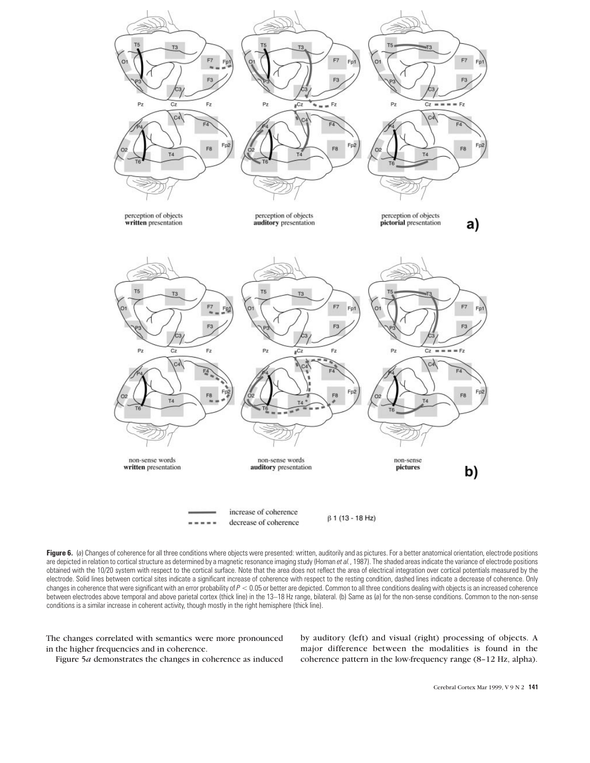

Figure 6. (a) Changes of coherence for all three conditions where objects were presented: written, auditorily and as pictures. For a better anatomical orientation, electrode positions are depicted in relation to cortical structure as determined by a magnetic resonance imaging study (Homan *et al.*, 1987). The shaded areas indicate the variance of electrode positions obtained with the 10/20 system with respect to the cortical surface. Note that the area does not reflect the area of electrical integration over cortical potentials measured by the electrode. Solid lines between cortical sites indicate a significant increase of coherence with respect to the resting condition, dashed lines indicate a decrease of coherence. Only changes in coherence that were significant with an error probability of  $P < 0.05$  or better are depicted. Common to all three conditions dealing with objects is an increased coherence between electrodes above temporal and above parietal cortex (thick line) in the 13–18 Hz range, bilateral. (b) Same as (*a*) for the non-sense conditions. Common to the non-sense conditions is a similar increase in coherent activity, though mostly in the right hemisphere (thick line).

The changes correlated with semantics were more pronounced in the higher frequencies and in coherence.

Figure 5*a* demonstrates the changes in coherence as induced

by auditory (left) and visual (right) processing of objects. A major difference between the modalities is found in the coherence pattern in the low-frequency range (8–12 Hz, alpha).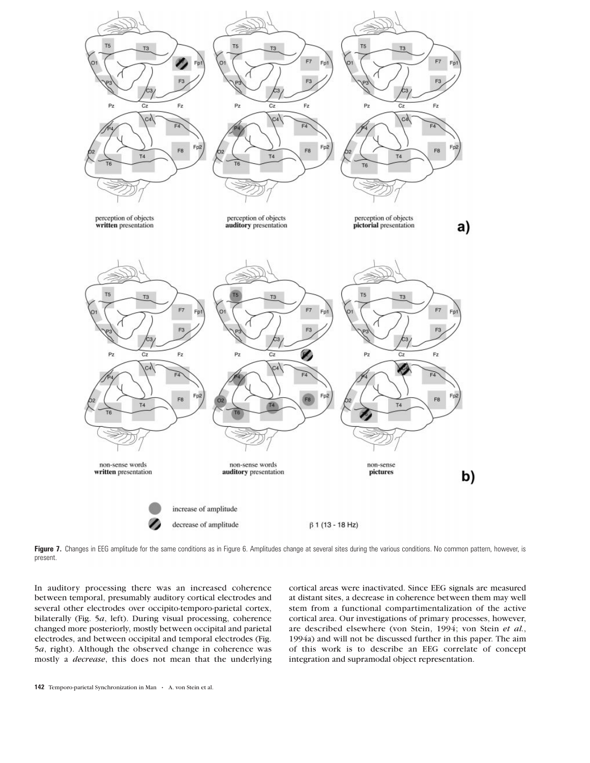

Figure 7. Changes in EEG amplitude for the same conditions as in Figure 6. Amplitudes change at several sites during the various conditions. No common pattern, however, is present.

In auditory processing there was an increased coherence between temporal, presumably auditory cortical electrodes and several other electrodes over occipito-temporo-parietal cortex, bilaterally (Fig. 5*a*, left). During visual processing, coherence changed more posteriorly, mostly between occipital and parietal electrodes, and between occipital and temporal electrodes (Fig. 5*a*, right). Although the observed change in coherence was mostly a *decrease*, this does not mean that the underlying cortical areas were inactivated. Since EEG signals are measured at distant sites, a decrease in coherence between them may well stem from a functional compartimentalization of the active cortical area. Our investigations of primary processes, however, are described elsewhere (von Stein, 1994; von Stein *et al.*, 1994a) and will not be discussed further in this paper. The aim of this work is to describe an EEG correlate of concept integration and supramodal object representation.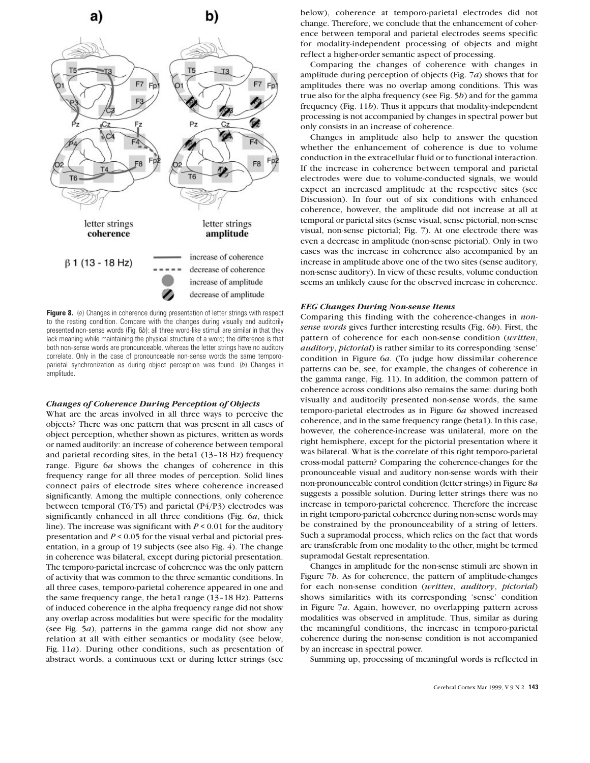

**Figure 8.** (a) Changes in coherence during presentation of letter strings with respect to the resting condition. Compare with the changes during visually and auditorily presented non-sense words (Fig. 6*b*): all three word-like stimuli are similar in that they lack meaning while maintaining the physical structure of a word; the difference is that both non-sense words are pronounceable, whereas the letter strings have no auditory correlate. Only in the case of pronounceable non-sense words the same temporoparietal synchronization as during object perception was found. (*b*) Changes in amplitude.

# *Changes of Coherence During Perception of Objects*

What are the areas involved in all three ways to perceive the objects? There was one pattern that was present in all cases of object perception, whether shown as pictures, written as words or named auditorily: an increase of coherence between temporal and parietal recording sites, in the beta1 (13–18 Hz) frequency range. Figure 6*a* shows the changes of coherence in this frequency range for all three modes of perception. Solid lines connect pairs of electrode sites where coherence increased significantly. Among the multiple connections, only coherence between temporal (T6/T5) and parietal (P4/P3) electrodes was significantly enhanced in all three conditions (Fig. 6*a*, thick line). The increase was significant with *P* < 0.01 for the auditory presentation and *P* < 0.05 for the visual verbal and pictorial presentation, in a group of 19 subjects (see also Fig. 4). The change in coherence was bilateral, except during pictorial presentation. The temporo-parietal increase of coherence was the only pattern of activity that was common to the three semantic conditions. In all three cases, temporo-parietal coherence appeared in one and the same frequency range, the beta1 range (13–18 Hz). Patterns of induced coherence in the alpha frequency range did not show any overlap across modalities but were specific for the modality (see Fig. 5*a*), patterns in the gamma range did not show any relation at all with either semantics or modality (see below, Fig. 11*a*). During other conditions, such as presentation of abstract words, a continuous text or during letter strings (see

below), coherence at temporo-parietal electrodes did not change. Therefore, we conclude that the enhancement of coherence between temporal and parietal electrodes seems specific for modality-independent processing of objects and might reflect a higher-order semantic aspect of processing.

Comparing the changes of coherence with changes in amplitude during perception of objects (Fig. 7*a*) shows that for amplitudes there was no overlap among conditions. This was true also for the alpha frequency (see Fig. 5*b*) and for the gamma frequency (Fig. 11*b*). Thus it appears that modality-independent processing is not accompanied by changes in spectral power but only consists in an increase of coherence.

Changes in amplitude also help to answer the question whether the enhancement of coherence is due to volume conduction in the extracellular fluid or to functional interaction. If the increase in coherence between temporal and parietal electrodes were due to volume-conducted signals, we would expect an increased amplitude at the respective sites (see Discussion). In four out of six conditions with enhanced coherence, however, the amplitude did not increase at all at temporal or parietal sites (sense visual, sense pictorial, non-sense visual, non-sense pictorial; Fig. 7). At one electrode there was even a decrease in amplitude (non-sense pictorial). Only in two cases was the increase in coherence also accompanied by an increase in amplitude above one of the two sites (sense auditory, non-sense auditory). In view of these results, volume conduction seems an unlikely cause for the observed increase in coherence.

## *EEG Changes During Non-sense Items*

Comparing this finding with the coherence-changes in *nonsense words* gives further interesting results (Fig. 6*b*). First, the pattern of coherence for each non-sense condition (*written*, *auditory*, *pictorial*) is rather similar to its corresponding 'sense' condition in Figure 6*a*. (To judge how dissimilar coherence patterns can be, see, for example, the changes of coherence in the gamma range, Fig. 11). In addition, the common pattern of coherence across conditions also remains the same: during both visually and auditorily presented non-sense words, the same temporo-parietal electrodes as in Figure 6*a* showed increased coherence, and in the same frequency range (beta1). In this case, however, the coherence-increase was unilateral, more on the right hemisphere, except for the pictorial presentation where it was bilateral. What is the correlate of this right temporo-parietal cross-modal pattern? Comparing the coherence-changes for the pronounceable visual and auditory non-sense words with their non-pronounceable control condition (letter strings) in Figure 8*a* suggests a possible solution. During letter strings there was no increase in temporo-parietal coherence. Therefore the increase in right temporo-parietal coherence during non-sense words may be constrained by the pronounceability of a string of letters. Such a supramodal process, which relies on the fact that words are transferable from one modality to the other, might be termed supramodal Gestalt representation.

Changes in amplitude for the non-sense stimuli are shown in Figure 7*b*. As for coherence, the pattern of amplitude-changes for each non-sense condition (*written*, *auditory*, *pictorial*) shows similarities with its corresponding 'sense' condition in Figure 7*a*. Again, however, no overlapping pattern across modalities was observed in amplitude. Thus, similar as during the meaningful conditions, the increase in temporo-parietal coherence during the non-sense condition is not accompanied by an increase in spectral power.

Summing up, processing of meaningful words is reflected in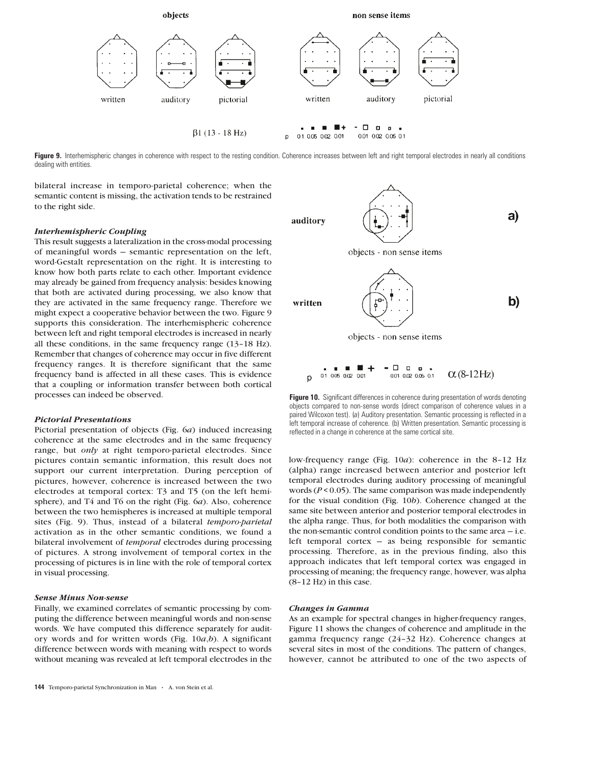

Figure 9. Interhemispheric changes in coherence with respect to the resting condition. Coherence increases between left and right temporal electrodes in nearly all conditions dealing with entities.

bilateral increase in temporo-parietal coherence; when the semantic content is missing, the activation tends to be restrained to the right side.

#### *Interhemispheric Coupling*

This result suggests a lateralization in the cross-modal processing of meaningful words — semantic representation on the left, word-Gestalt representation on the right. It is interesting to know how both parts relate to each other. Important evidence may already be gained from frequency analysis: besides knowing that both are activated during processing, we also know that they are activated in the same frequency range. Therefore we might expect a cooperative behavior between the two. Figure 9 supports this consideration. The interhemispheric coherence between left and right temporal electrodes is increased in nearly all these conditions, in the same frequency range (13–18 Hz). Remember that changes of coherence may occur in five different frequency ranges. It is therefore significant that the same frequency band is affected in all these cases. This is evidence that a coupling or information transfer between both cortical processes can indeed be observed.

#### *Pictorial Presentations*

Pictorial presentation of objects (Fig. 6*a*) induced increasing coherence at the same electrodes and in the same frequency range, but *only* at right temporo-parietal electrodes. Since pictures contain semantic information, this result does not support our current interpretation. During perception of pictures, however, coherence is increased between the two electrodes at temporal cortex: T3 and T5 (on the left hemisphere), and T4 and T6 on the right (Fig. 6*a*). Also, coherence between the two hemispheres is increased at multiple temporal sites (Fig. 9). Thus, instead of a bilateral *temporo-parietal* activation as in the other semantic conditions, we found a bilateral involvement of *temporal* electrodes during processing of pictures. A strong involvement of temporal cortex in the processing of pictures is in line with the role of temporal cortex in visual processing.

## *Sense Minus Non-sense*

Finally, we examined correlates of semantic processing by computing the difference between meaningful words and non-sense words. We have computed this difference separately for auditory words and for written words (Fig. 10*a*,*b*). A significant difference between words with meaning with respect to words without meaning was revealed at left temporal electrodes in the



**Figure 10.** Significant differences in coherence during presentation of words denoting objects compared to non-sense words (direct comparison of coherence values in a paired Wilcoxon test). (*a*) Auditory presentation. Semantic processing is reflected in a left temporal increase of coherence. (b) Written presentation. Semantic processing is reflected in a change in coherence at the same cortical site.

low-frequency range (Fig. 10*a*): coherence in the 8–12 Hz (alpha) range increased between anterior and posterior left temporal electrodes during auditory processing of meaningful words (*P* < 0.05). The same comparison was made independently for the visual condition (Fig. 10*b*). Coherence changed at the same site between anterior and posterior temporal electrodes in the alpha range. Thus, for both modalities the comparison with the non-semantic control condition points to the same area — i.e. left temporal cortex — as being responsible for semantic processing. Therefore, as in the previous finding, also this approach indicates that left temporal cortex was engaged in processing of meaning; the frequency range, however, was alpha (8–12 Hz) in this case.

# *Changes in Gamma*

As an example for spectral changes in higher-frequency ranges, Figure 11 shows the changes of coherence and amplitude in the gamma frequency range (24–32 Hz). Coherence changes at several sites in most of the conditions. The pattern of changes, however, cannot be attributed to one of the two aspects of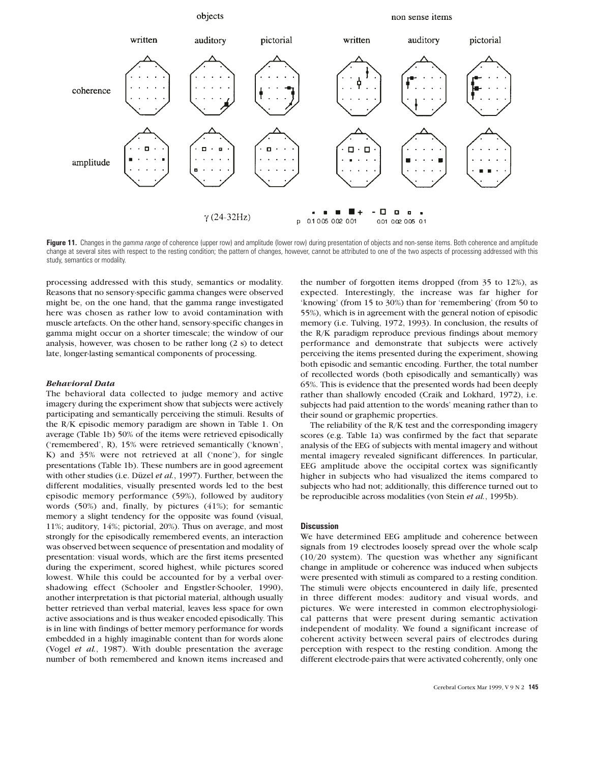

Figure 11. Changes in the *gamma range* of coherence (upper row) and amplitude (lower row) during presentation of objects and non-sense items. Both coherence and amplitude change at several sites with respect to the resting condition; the pattern of changes, however, cannot be attributed to one of the two aspects of processing addressed with this study, semantics or modality.

processing addressed with this study, semantics or modality. Reasons that no sensory-specific gamma changes were observed might be, on the one hand, that the gamma range investigated here was chosen as rather low to avoid contamination with muscle artefacts. On the other hand, sensory-specific changes in gamma might occur on a shorter timescale; the window of our analysis, however, was chosen to be rather long (2 s) to detect late, longer-lasting semantical components of processing.

## *Behavioral Data*

The behavioral data collected to judge memory and active imagery during the experiment show that subjects were actively participating and semantically perceiving the stimuli. Results of the R/K episodic memory paradigm are shown in Table 1. On average (Table 1b) 50% of the items were retrieved episodically ('remembered', R), 15% were retrieved semantically ('known', K) and 35% were not retrieved at all ('none'), for single presentations (Table 1b). These numbers are in good agreement with other studies (i.e. Düzel *et al.*, 1997). Further, between the different modalities, visually presented words led to the best episodic memory performance (59%), followed by auditory words (50%) and, finally, by pictures (41%); for semantic memory a slight tendency for the opposite was found (visual, 11%; auditory, 14%; pictorial, 20%). Thus on average, and most strongly for the episodically remembered events, an interaction was observed between sequence of presentation and modality of presentation: visual words, which are the first items presented during the experiment, scored highest, while pictures scored lowest. While this could be accounted for by a verbal overshadowing effect (Schooler and Engstler-Schooler, 1990), another interpretation is that pictorial material, although usually better retrieved than verbal material, leaves less space for own active associations and is thus weaker encoded episodically. This is in line with findings of better memory performance for words embedded in a highly imaginable content than for words alone (Vogel *et al.*, 1987). With double presentation the average number of both remembered and known items increased and

the number of forgotten items dropped (from 35 to 12%), as expected. Interestingly, the increase was far higher for 'knowing' (from 15 to 30%) than for 'remembering' (from 50 to 55%), which is in agreement with the general notion of episodic memory (i.e. Tulving, 1972, 1993). In conclusion, the results of the R/K paradigm reproduce previous findings about memory performance and demonstrate that subjects were actively perceiving the items presented during the experiment, showing both episodic and semantic encoding. Further, the total number of recollected words (both episodically and semantically) was 65%. This is evidence that the presented words had been deeply rather than shallowly encoded (Craik and Lokhard, 1972), i.e. subjects had paid attention to the words' meaning rather than to their sound or graphemic properties.

The reliability of the R/K test and the corresponding imagery scores (e.g. Table 1a) was confirmed by the fact that separate analysis of the EEG of subjects with mental imagery and without mental imagery revealed significant differences. In particular, EEG amplitude above the occipital cortex was significantly higher in subjects who had visualized the items compared to subjects who had not; additionally, this difference turned out to be reproducible across modalities (von Stein *et al.*, 1995b).

# **Discussion**

We have determined EEG amplitude and coherence between signals from 19 electrodes loosely spread over the whole scalp (10/20 system). The question was whether any significant change in amplitude or coherence was induced when subjects were presented with stimuli as compared to a resting condition. The stimuli were objects encountered in daily life, presented in three different modes: auditory and visual words, and pictures. We were interested in common electrophysiological patterns that were present during semantic activation independent of modality. We found a significant increase of coherent activity between several pairs of electrodes during perception with respect to the resting condition. Among the different electrode-pairs that were activated coherently, only one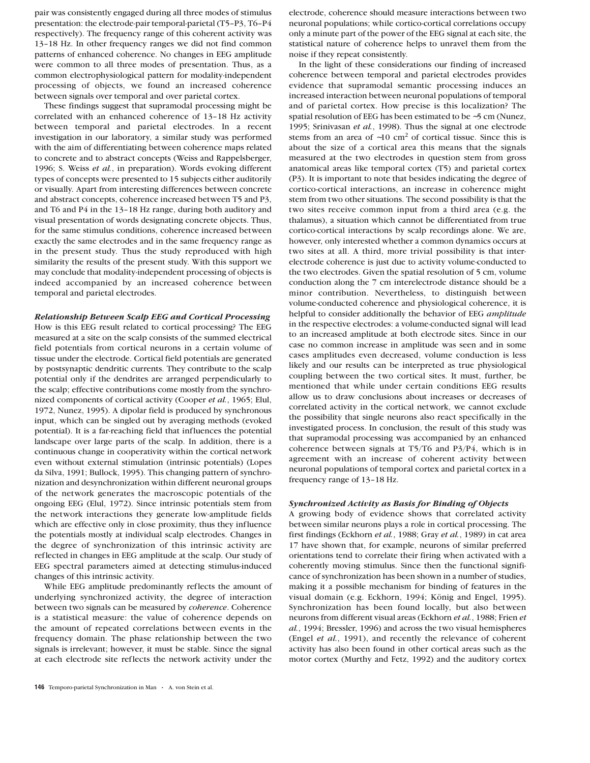pair was consistently engaged during all three modes of stimulus presentation: the electrode-pair temporal-parietal (T5–P3, T6–P4 respectively). The frequency range of this coherent activity was 13–18 Hz. In other frequency ranges we did not find common patterns of enhanced coherence. No changes in EEG amplitude were common to all three modes of presentation. Thus, as a common electrophysiological pattern for modality-independent processing of objects, we found an increased coherence between signals over temporal and over parietal cortex.

These findings suggest that supramodal processing might be correlated with an enhanced coherence of 13–18 Hz activity between temporal and parietal electrodes. In a recent investigation in our laboratory, a similar study was performed with the aim of differentiating between coherence maps related to concrete and to abstract concepts (Weiss and Rappelsberger, 1996; S. Weiss *et al.*, in preparation). Words evoking different types of concepts were presented to 15 subjects either auditorily or visually. Apart from interesting differences between concrete and abstract concepts, coherence increased between T5 and P3, and T6 and P4 in the 13–18 Hz range, during both auditory and visual presentation of words designating concrete objects. Thus, for the same stimulus conditions, coherence increased between exactly the same electrodes and in the same frequency range as in the present study. Thus the study reproduced with high similarity the results of the present study. With this support we may conclude that modality-independent processing of objects is indeed accompanied by an increased coherence between temporal and parietal electrodes.

# *Relationship Between Scalp EEG and Cortical Processing*

How is this EEG result related to cortical processing? The EEG measured at a site on the scalp consists of the summed electrical field potentials from cortical neurons in a certain volume of tissue under the electrode. Cortical field potentials are generated by postsynaptic dendritic currents. They contribute to the scalp potential only if the dendrites are arranged perpendicularly to the scalp; effective contributions come mostly from the synchronized components of cortical activity (Cooper *et al.*, 1965; Elul, 1972, Nunez, 1995). A dipolar field is produced by synchronous input, which can be singled out by averaging methods (evoked potential). It is a far-reaching field that influences the potential landscape over large parts of the scalp. In addition, there is a continuous change in cooperativity within the cortical network even without external stimulation (intrinsic potentials) (Lopes da Silva, 1991; Bullock, 1995). This changing pattern of synchronization and desynchronization within different neuronal groups of the network generates the macroscopic potentials of the ongoing EEG (Elul, 1972). Since intrinsic potentials stem from the network interactions they generate low-amplitude fields which are effective only in close proximity, thus they influence the potentials mostly at individual scalp electrodes. Changes in the degree of synchronization of this intrinsic activity are reflected in changes in EEG amplitude at the scalp. Our study of EEG spectral parameters aimed at detecting stimulus-induced changes of this intrinsic activity.

While EEG amplitude predominantly reflects the amount of underlying synchronized activity, the degree of interaction between two signals can be measured by *coherence*. Coherence is a statistical measure: the value of coherence depends on the amount of repeated correlations between events in the frequency domain. The phase relationship between the two signals is irrelevant; however, it must be stable. Since the signal at each electrode site reflects the network activity under the

electrode, coherence should measure interactions between two neuronal populations; while cortico-cortical correlations occupy only a minute part of the power of the EEG signal at each site, the statistical nature of coherence helps to unravel them from the noise if they repeat consistently.

In the light of these considerations our finding of increased coherence between temporal and parietal electrodes provides evidence that supramodal semantic processing induces an increased interaction between neuronal populations of temporal and of parietal cortex. How precise is this localization? The spatial resolution of EEG has been estimated to be ∼5 cm (Nunez, 1995; Srinivasan *et al.*, 1998). Thus the signal at one electrode stems from an area of ~10 cm<sup>2</sup> of cortical tissue. Since this is about the size of a cortical area this means that the signals measured at the two electrodes in question stem from gross anatomical areas like temporal cortex (T5) and parietal cortex (P3). It is important to note that besides indicating the degree of cortico-cortical interactions, an increase in coherence might stem from two other situations. The second possibility is that the two sites receive common input from a third area (e.g. the thalamus), a situation which cannot be differentiated from true cortico-cortical interactions by scalp recordings alone. We are, however, only interested whether a common dynamics occurs at two sites at all. A third, more trivial possibility is that interelectrode coherence is just due to activity volume-conducted to the two electrodes. Given the spatial resolution of 5 cm, volume conduction along the 7 cm interelectrode distance should be a minor contribution. Nevertheless, to distinguish between volume-conducted coherence and physiological coherence, it is helpful to consider additionally the behavior of EEG *amplitude* in the respective electrodes: a volume-conducted signal will lead to an increased amplitude at both electrode sites. Since in our case no common increase in amplitude was seen and in some cases amplitudes even decreased, volume conduction is less likely and our results can be interpreted as true physiological coupling between the two cortical sites. It must, further, be mentioned that while under certain conditions EEG results allow us to draw conclusions about increases or decreases of correlated activity in the cortical network, we cannot exclude the possibility that single neurons also react specifically in the investigated process. In conclusion, the result of this study was that supramodal processing was accompanied by an enhanced coherence between signals at T5/T6 and P3/P4, which is in agreement with an increase of coherent activity between neuronal populations of temporal cortex and parietal cortex in a frequency range of 13–18 Hz.

# *Synchronized Activity as Basis for Binding of Objects*

A growing body of evidence shows that correlated activity between similar neurons plays a role in cortical processing. The first findings (Eckhorn *et al.*, 1988; Gray *et al.*, 1989) in cat area 17 have shown that, for example, neurons of similar preferred orientations tend to correlate their firing when activated with a coherently moving stimulus. Since then the functional significance of synchronization has been shown in a number of studies, making it a possible mechanism for binding of features in the visual domain (e.g. Eckhorn, 1994; König and Engel, 1995). Synchronization has been found locally, but also between neurons from different visual areas (Eckhorn *et al.*, 1988; Frien *et al.*, 1994; Bressler, 1996) and across the two visual hemispheres (Engel *et al.*, 1991), and recently the relevance of coherent activity has also been found in other cortical areas such as the motor cortex (Murthy and Fetz, 1992) and the auditory cortex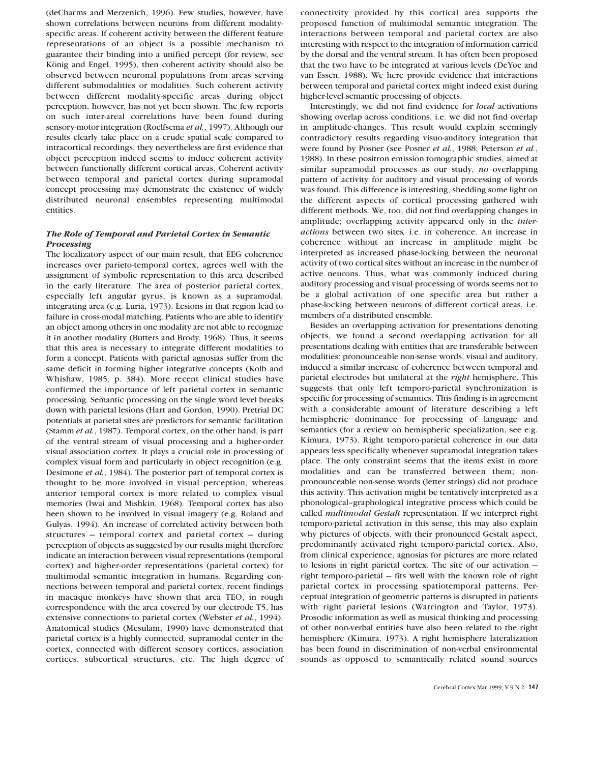(deCharms and Merzenich, 1996). Few studies, however, have shown correlations between neurons from different modalityspecific areas. If coherent activity between the different feature representations of an object is a possible mechanism to guarantee their binding into a unified percept (for review, see König and Engel, 1995), then coherent activity should also be observed between neuronal populations from areas serving different submodalities or modalities. Such coherent activity between different modality-specific areas during object perception, however, has not yet been shown. The few reports on such inter-areal correlations have been found during sensory-motor integration (Roelfsema *et al.*, 1997). Although our results clearly take place on a crude spatial scale compared to intracortical recordings, they nevertheless are first evidence that object perception indeed seems to induce coherent activity between functionally different cortical areas. Coherent activity between temporal and parietal cortex during supramodal concept processing may demonstrate the existence of widely distributed neuronal ensembles representing multimodal entities.

# *The Role of Temporal and Parietal Cortex in Semantic Processing*

The localizatory aspect of our main result, that EEG coherence increases over parieto-temporal cortex, agrees well with the assignment of symbolic representation to this area described in the early literature. The area of posterior parietal cortex, especially left angular gyrus, is known as a supramodal, integrating area (e.g. Luria, 1973). Lesions in that region lead to failure in cross-modal matching. Patients who are able to identify an object among others in one modality are not able to recognize it in another modality (Butters and Brody, 1968). Thus, it seems that this area is necessary to integrate different modalities to form a concept. Patients with parietal agnosias suffer from the same deficit in forming higher integrative concepts (Kolb and Whishaw, 1985, p. 384). More recent clinical studies have confirmed the importance of left parietal cortex in semantic processing. Semantic processing on the single word level breaks down with parietal lesions (Hart and Gordon, 1990). Pretrial DC potentials at parietal sites are predictors for semantic facilitation (Stamm *et al.*, 1987). Temporal cortex, on the other hand, is part of the ventral stream of visual processing and a higher-order visual association cortex. It plays a crucial role in processing of complex visual form and particularly in object recognition (e.g. Desimone *et al.*, 1984). The posterior part of temporal cortex is thought to be more involved in visual perception, whereas anterior temporal cortex is more related to complex visual memories (Iwai and Mishkin, 1968). Temporal cortex has also been shown to be involved in visual imagery (e.g. Roland and Gulyas, 1994). An increase of correlated activity between both structures — temporal cortex and parietal cortex — during perception of objects as suggested by our results might therefore indicate an interaction between visual representations (temporal cortex) and higher-order representations (parietal cortex) for multimodal semantic integration in humans. Regarding connections between temporal and parietal cortex, recent findings in macaque monkeys have shown that area TEO, in rough correspondence with the area covered by our electrode T5, has extensive connections to parietal cortex (Webster *et al.*, 1994). Anatomical studies (Mesulam, 1990) have demonstrated that parietal cortex is a highly connected, supramodal center in the cortex, connected with different sensory cortices, association cortices, subcortical structures, etc. The high degree of connectivity provided by this cortical area supports the proposed function of multimodal semantic integration. The interactions between temporal and parietal cortex are also interesting with respect to the integration of information carried by the dorsal and the ventral stream. It has often been proposed that the two have to be integrated at various levels (DeYoe and van Essen, 1988). We here provide evidence that interactions between temporal and parietal cortex might indeed exist during higher-level semantic processing of objects.

Interestingly, we did not find evidence for *local* activations showing overlap across conditions, i.e. we did not find overlap in amplitude-changes. This result would explain seemingly contradictory results regarding visuo-auditory integration that were found by Posner (see Posner *et al.*, 1988; Peterson *et al.*, 1988). In these positron emission tomographic studies, aimed at similar supramodal processes as our study, *no* overlapping pattern of activity for auditory and visual processing of words was found. This difference is interesting, shedding some light on the different aspects of cortical processing gathered with different methods. We, too, did not find overlapping changes in amplitude; overlapping activity appeared only in the *interactions* between two sites*,* i.e. in coherence. An increase in coherence without an increase in amplitude might be interpreted as increased phase-locking between the neuronal activity of two cortical sites without an increase in the number of active neurons. Thus, what was commonly induced during auditory processing and visual processing of words seems not to be a global activation of one specific area but rather a phase-locking between neurons of different cortical areas, i.e. members of a distributed ensemble.

Besides an overlapping activation for presentations denoting objects, we found a second overlapping activation for all presentations dealing with entities that are transferable between modalities: pronounceable non-sense words, visual and auditory, induced a similar increase of coherence between temporal and parietal electrodes but unilateral at the *right* hemisphere. This suggests that only left temporo-parietal synchronization is specific for processing of semantics. This finding is in agreement with a considerable amount of literature describing a left hemispheric dominance for processing of language and semantics (for a review on hemispheric specialization, see e.g. Kimura, 1973). Right temporo-parietal coherence in our data appears less specifically whenever supramodal integration takes place. The only constraint seems that the items exist in more modalities and can be transferred between them; nonpronounceable non-sense words (letter strings) did not produce this activity. This activation might be tentatively interpreted as a phonological–graphological integrative process which could be called *multimodal Gestalt* representation. If we interpret right temporo-parietal activation in this sense, this may also explain why pictures of objects, with their pronounced Gestalt aspect, predominantly activated right temporo-parietal cortex. Also, from clinical experience, agnosias for pictures are more related to lesions in right parietal cortex. The site of our activation right temporo-parietal — fits well with the known role of right parietal cortex in processing spatiotemporal patterns. Perceptual integration of geometric patterns is disrupted in patients with right parietal lesions (Warrington and Taylor, 1973). Prosodic information as well as musical thinking and processing of other non-verbal entities have also been related to the right hemisphere (Kimura, 1973). A right hemisphere lateralization has been found in discrimination of non-verbal environmental sounds as opposed to semantically related sound sources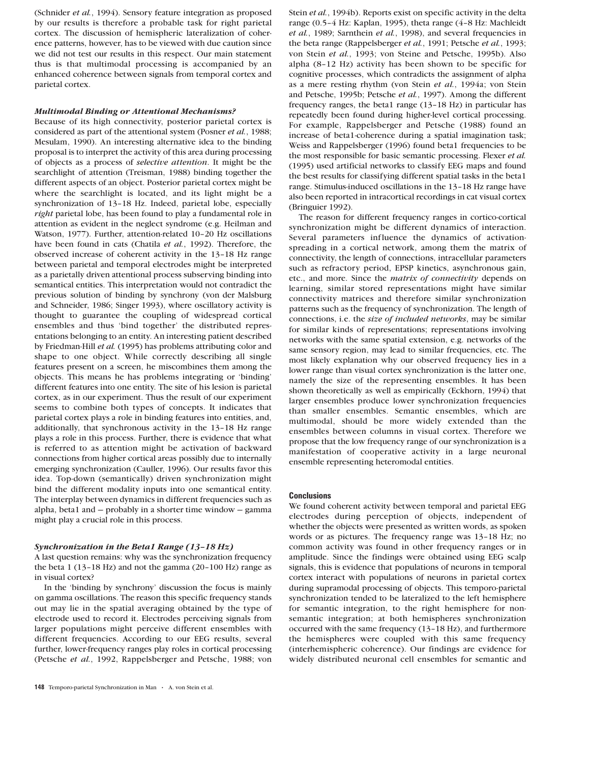(Schnider *et al.*, 1994). Sensory feature integration as proposed by our results is therefore a probable task for right parietal cortex. The discussion of hemispheric lateralization of coherence patterns, however, has to be viewed with due caution since we did not test our results in this respect. Our main statement thus is that multimodal processing is accompanied by an enhanced coherence between signals from temporal cortex and parietal cortex.

# *Multimodal Binding or Attentional Mechanisms?*

Because of its high connectivity, posterior parietal cortex is considered as part of the attentional system (Posner *et al.*, 1988; Mesulam, 1990). An interesting alternative idea to the binding proposal is to interpret the activity of this area during processing of objects as a process of *selective attention*. It might be the searchlight of attention (Treisman, 1988) binding together the different aspects of an object. Posterior parietal cortex might be where the searchlight is located, and its light might be a synchronization of 13–18 Hz. Indeed, parietal lobe, especially *right* parietal lobe, has been found to play a fundamental role in attention as evident in the neglect syndrome (e.g. Heilman and Watson, 1977). Further, attention-related 10–20 Hz oscillations have been found in cats (Chatila *et al.*, 1992). Therefore, the observed increase of coherent activity in the 13–18 Hz range between parietal and temporal electrodes might be interpreted as a parietally driven attentional process subserving binding into semantical entities. This interpretation would not contradict the previous solution of binding by synchrony (von der Malsburg and Schneider, 1986; Singer 1993), where oscillatory activity is thought to guarantee the coupling of widespread cortical ensembles and thus 'bind together' the distributed representations belonging to an entity. An interesting patient described by Friedman-Hill *et al.* (1995) has problems attributing color and shape to one object. While correctly describing all single features present on a screen, he miscombines them among the objects. This means he has problems integrating or 'binding' different features into one entity. The site of his lesion is parietal cortex, as in our experiment. Thus the result of our experiment seems to combine both types of concepts. It indicates that parietal cortex plays a role in binding features into entities, and, additionally, that synchronous activity in the 13–18 Hz range plays a role in this process. Further, there is evidence that what is referred to as attention might be activation of backward connections from higher cortical areas possibly due to internally emerging synchronization (Cauller, 1996). Our results favor this idea. Top-down (semantically) driven synchronization might bind the different modality inputs into one semantical entity. The interplay between dynamics in different frequencies such as alpha, beta1 and — probably in a shorter time window — gamma might play a crucial role in this process.

## *Synchronization in the Beta1 Range (13–18 Hz)*

A last question remains: why was the synchronization frequency the beta 1 (13–18 Hz) and not the gamma (20–100 Hz) range as in visual cortex?

In the 'binding by synchrony' discussion the focus is mainly on gamma oscillations. The reason this specific frequency stands out may lie in the spatial averaging obtained by the type of electrode used to record it. Electrodes perceiving signals from larger populations might perceive different ensembles with different frequencies. According to our EEG results, several further, lower-frequency ranges play roles in cortical processing (Petsche *et al.*, 1992, Rappelsberger and Petsche, 1988; von

Stein *et al.*, 1994b). Reports exist on specific activity in the delta range (0.5–4 Hz: Kaplan, 1995), theta range (4–8 Hz: Machleidt *et al.*, 1989; Sarnthein *et al.*, 1998), and several frequencies in the beta range (Rappelsberger *et al.*, 1991; Petsche *et al.*, 1993; von Stein *et al.*, 1993; von Steine and Petsche, 1995b). Also alpha (8–12 Hz) activity has been shown to be specific for cognitive processes, which contradicts the assignment of alpha as a mere resting rhythm (von Stein *et al.*, 1994a; von Stein and Petsche, 1995b; Petsche *et al.*, 1997). Among the different frequency ranges, the beta1 range (13–18 Hz) in particular has repeatedly been found during higher-level cortical processing. For example, Rappelsberger and Petsche (1988) found an increase of beta1-coherence during a spatial imagination task; Weiss and Rappelsberger (1996) found beta1 frequencies to be the most responsible for basic semantic processing. Flexer *et al.* (1995) used artificial networks to classify EEG maps and found the best results for classifying different spatial tasks in the beta1 range. Stimulus-induced oscillations in the 13–18 Hz range have also been reported in intracortical recordings in cat visual cortex (Bringuier 1992).

The reason for different frequency ranges in cortico-cortical synchronization might be different dynamics of interaction. Several parameters influence the dynamics of activationspreading in a cortical network, among them the matrix of connectivity, the length of connections, intracellular parameters such as refractory period, EPSP kinetics, asynchronous gain, etc., and more. Since the *matrix of connectivity* depends on learning, similar stored representations might have similar connectivity matrices and therefore similar synchronization patterns such as the frequency of synchronization. The length of connections, i.e. the *size of included networks*, may be similar for similar kinds of representations; representations involving networks with the same spatial extension, e.g. networks of the same sensory region, may lead to similar frequencies, etc. The most likely explanation why our observed frequency lies in a lower range than visual cortex synchronization is the latter one, namely the size of the representing ensembles. It has been shown theoretically as well as empirically (Eckhorn, 1994) that larger ensembles produce lower synchronization frequencies than smaller ensembles. Semantic ensembles, which are multimodal, should be more widely extended than the ensembles between columns in visual cortex. Therefore we propose that the low frequency range of our synchronization is a manifestation of cooperative activity in a large neuronal ensemble representing heteromodal entities.

## **Conclusions**

We found coherent activity between temporal and parietal EEG electrodes during perception of objects, independent of whether the objects were presented as written words, as spoken words or as pictures. The frequency range was 13–18 Hz; no common activity was found in other frequency ranges or in amplitude. Since the findings were obtained using EEG scalp signals, this is evidence that populations of neurons in temporal cortex interact with populations of neurons in parietal cortex during supramodal processing of objects. This temporo-parietal synchronization tended to be lateralized to the left hemisphere for semantic integration, to the right hemisphere for nonsemantic integration; at both hemispheres synchronization occurred with the same frequency (13–18 Hz), and furthermore the hemispheres were coupled with this same frequency (interhemispheric coherence). Our findings are evidence for widely distributed neuronal cell ensembles for semantic and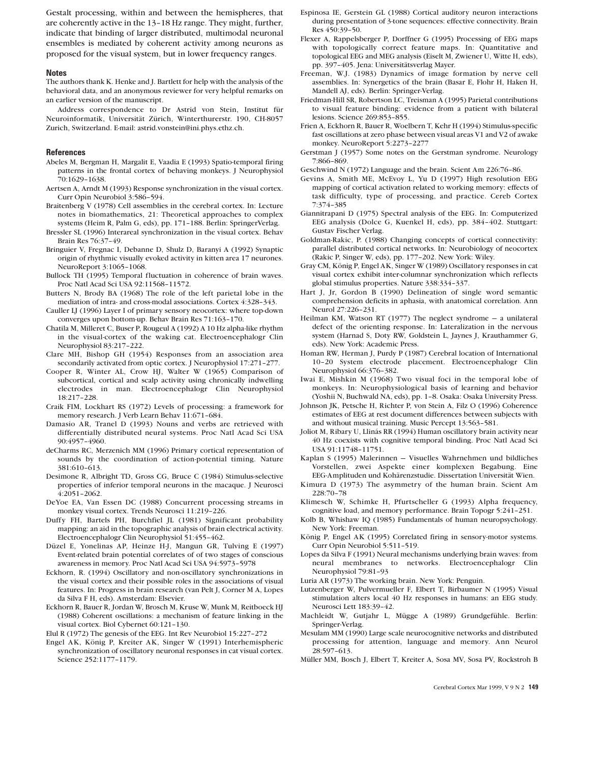Gestalt processing, within and between the hemispheres, that are coherently active in the 13–18 Hz range. They might, further, indicate that binding of larger distributed, multimodal neuronal ensembles is mediated by coherent activity among neurons as proposed for the visual system, but in lower frequency ranges.

# **Notes**

The authors thank K. Henke and J. Bartlett for help with the analysis of the behavioral data, and an anonymous reviewer for very helpful remarks on an earlier version of the manuscript.

Address correspondence to Dr Astrid von Stein, Institut für Neuroinformatik, Universität Zürich, Winterthurerstr. 190, CH-8057 Zurich, Switzerland. E-mail: astrid.vonstein@ini.phys.ethz.ch.

#### **References**

- Abeles M, Bergman H, Margalit E, Vaadia E (1993) Spatio-temporal firing patterns in the frontal cortex of behaving monkeys. J Neurophysiol 70:1629–1638.
- Aertsen A, Arndt M (1993) Response synchronization in the visual cortex. Curr Opin Neurobiol 3:586–594.
- Braitenberg V (1978) Cell assemblies in the cerebral cortex. In: Lecture notes in biomathematics, 21: Theoretical approaches to complex systems (Heim R, Palm G, eds), pp. 171–188. Berlin: SpringerVerlag.
- Bressler SL (1996) Interareal synchronization in the visual cortex. Behav Brain Res 76:37–49.
- Bringuier V, Fregnac I, Debanne D, Shulz D, Baranyi A (1992) Synaptic origin of rhythmic visually evoked activity in kitten area 17 neurones. NeuroReport 3:1065–1068.
- Bullock TH (1995) Temporal fluctuation in coherence of brain waves. Proc Natl Acad Sci USA 92:11568–11572.
- Butters N, Brody BA (1968) The role of the left parietal lobe in the mediation of intra- and cross-modal associations. Cortex 4:328–343.
- Cauller LJ (1996) Layer I of primary sensory neocortex: where top-down converges upon bottom-up. Behav Brain Res 71:163–170.
- Chatila M, Milleret C, Buser P, Rougeul A (1992) A 10 Hz alpha-like rhythm in the visual-cortex of the waking cat. Electroencephalogr Clin Neurophysiol 83:217–222.
- Clare MH, Bishop GH (1954) Responses from an association area secondarily activated from optic cortex. J Neurophysiol 17:271–277.
- Cooper R, Winter AL, Crow HJ, Walter W (1965) Comparison of subcortical, cortical and scalp activity using chronically indwelling electrodes in man. Electroencephalogr Clin Neurophysiol 18:217–228.
- Craik FIM, Lockhart RS (1972) Levels of processing: a framework for memory research. J Verb Learn Behav 11:671–684.
- Damasio AR, Tranel D (1993) Nouns and verbs are retrieved with differentially distributed neural systems. Proc Natl Acad Sci USA 90:4957–4960.
- deCharms RC, Merzenich MM (1996) Primary cortical representation of sounds by the coordination of action-potential timing. Nature 381:610–613.
- Desimone R, Albright TD, Gross CG, Bruce C (1984) Stimulus-selective properties of inferior temporal neurons in the macaque. J Neurosci 4:2051–2062.
- DeYoe EA, Van Essen DC (1988) Concurrent processing streams in monkey visual cortex. Trends Neurosci 11:219–226.
- Duffy FH, Bartels PH, Burchfiel JL (1981) Significant probability mapping: an aid in the topographic analysis of brain electrical activity. Electroencephalogr Clin Neurophysiol 51:455–462.
- Düzel E, Yonelinas AP, Heinze H-J, Mangun GR, Tulving E (1997) Event-related brain potential correlates of of two stages of conscious awareness in memory. Proc Natl Acad Sci USA 94:5973–5978
- Eckhorn, R. (1994) Oscillatory and non-oscillatory synchronizations in the visual cortex and their possible roles in the associations of visual features. In: Progress in brain research (van Pelt J, Corner M A, Lopes da Silva F H, eds). Amsterdam: Elsevier.
- Eckhorn R, Bauer R, Jordan W, Brosch M, Kruse W, Munk M, Reitboeck HJ (1988) Coherent oscillations: a mechanism of feature linking in the visual cortex. Biol Cybernet 60:121–130.

Elul R (1972) The genesis of the EEG. Int Rev Neurobiol 15:227–272

Engel AK, König P, Kreiter AK, Singer W (1991) Interhemispheric synchronization of oscillatory neuronal responses in cat visual cortex. Science 252:1177–1179.

- Espinosa IE, Gerstein GL (1988) Cortical auditory neuron interactions during presentation of 3-tone sequences: effective connectivity. Brain Res 450:39–50.
- Flexer A, Rappelsberger P, Dorffner G (1995) Processing of EEG maps with topologically correct feature maps. In: Quantitative and topological EEG and MEG analysis (Eiselt M, Zwiener U, Witte H, eds), pp. 397–405. Jena: Universitätsverlag Mayer.
- Freeman, W.J. (1983) Dynamics of image formation by nerve cell assemblies. In: Synergetics of the brain (Basar E, Flohr H, Haken H, Mandell AJ, eds). Berlin: Springer-Verlag.
- Friedman-Hill SR, Robertson LC, Treisman A (1995) Parietal contributions to visual feature binding: evidence from a patient with bilateral lesions. Science 269:853–855.
- Frien A, Eckhorn R, Bauer R, Woelbern T, Kehr H (1994) Stimulus-specific fast oscillations at zero phase between visual areas V1 and V2 of awake monkey. NeuroReport 5:2273–2277
- Gerstman J (1957) Some notes on the Gerstman syndrome. Neurology 7:866–869.
- Geschwind N (1972) Language and the brain. Scient Am 226:76–86.
- Gevins A, Smith ME, McEvoy L, Yu D (1997) High resolution EEG mapping of cortical activation related to working memory: effects of task difficulty, type of processing, and practice. Cereb Cortex 7:374–385
- Giannitrapani D (1975) Spectral analysis of the EEG. In: Computerized EEG analysis (Dolce G, Kuenkel H, eds), pp. 384–402. Stuttgart: Gustav Fischer Verlag.
- Goldman-Rakic, P. (1988) Changing concepts of cortical connectivity: parallel distributed cortical networks. In: Neurobiology of neocortex (Rakic P, Singer W, eds), pp. 177–202. New York: Wiley.
- Gray CM, König P, Engel AK, Singer W (1989) Oscillatory responses in cat visual cortex exhibit inter-columnar synchronization which reflects global stimulus properties. Nature 338:334–337.
- Hart J, Jr, Gordon B (1990) Delineation of single word semantic comprehension deficits in aphasia, with anatomical correlation. Ann Neurol 27:226–231.
- Heilman KM, Watson RT (1977) The neglect syndrome a unilateral defect of the orienting response. In: Lateralization in the nervous system (Harnad S, Doty RW, Goldstein L, Jaynes J, Krauthammer G, eds). New York: Academic Press.
- Homan RW, Herman J, Purdy P (1987) Cerebral location of International 10–20 System electrode placement. Electroencephalogr Clin Neurophysiol 66:376–382.
- Iwai E, Mishkin M (1968) Two visual foci in the temporal lobe of monkeys. In: Neurophysiological basis of learning and behavior (Yoshii N, Buchwald NA, eds), pp. 1–8. Osaka: Osaka University Press.
- Johnson JK, Petsche H, Richter P, von Stein A, Filz O (1996) Coherence estimates of EEG at rest document differences between subjects with and without musical training. Music Percept 13:563–581.
- Joliot M, Ribary U, Llinás RR (1994) Human oscillatory brain activity near 40 Hz coexists with cognitive temporal binding. Proc Natl Acad Sci USA 91:11748–11751.
- Kaplan S (1995) Malerinnen Visuelles Wahrnehmen und bildliches Vorstellen, zwei Aspekte einer komplexen Begabung. Eine EEG-Amplituden und Kohärenzstudie. Dissertation Universität Wien.
- Kimura D (1973) The asymmetry of the human brain. Scient Am 228:70–78
- Klimesch W, Schimke H, Pfurtscheller G (1993) Alpha frequency, cognitive load, and memory performance. Brain Topogr 5:241–251.
- Kolb B, Whishaw IQ (1985) Fundamentals of human neuropsychology. New York: Freeman.
- König P, Engel AK (1995) Correlated firing in sensory-motor systems. Curr Opin Neurobiol 5:511–519.
- Lopes da Silva F (1991) Neural mechanisms underlying brain waves: from neural membranes to networks. Electroencephalogr Clin Neurophysiol 79:81–93
- Luria AR (1973) The working brain. New York: Penguin.
- Lutzenberger W, Pulvermueller F, Elbert T, Birbaumer N (1995) Visual stimulation alters local 40 Hz responses in humans: an EEG study. Neurosci Lett 183:39–42.
- Machleidt W, Gutjahr L, Mügge A (1989) Grundgefühle. Berlin: Springer-Verlag.
- Mesulam MM (1990) Large scale neurocognitive networks and distributed processing for attention, language and memory. Ann Neurol 28:597–613.
- Müller MM, Bosch J, Elbert T, Kreiter A, Sosa MV, Sosa PV, Rockstroh B